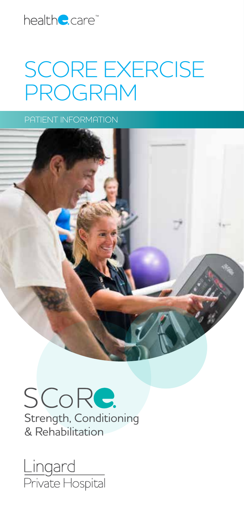

## SCORE EXERCISE PROGRAM

PATIENT INFORMATION



SCoRe. Strength, Conditioning & Rehabilitation

<u>Lingard</u><br>Private Hospital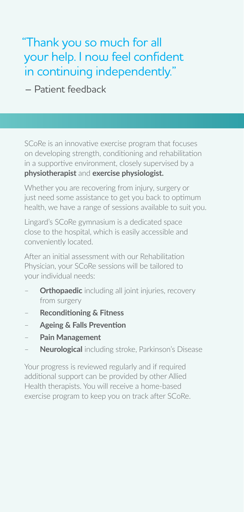"Thank you so much for all your help. I now feel confident in continuing independently."

– Patient feedback

SCoRe is an innovative exercise program that focuses on developing strength, conditioning and rehabilitation in a supportive environment, closely supervised by a **physiotherapist** and **exercise physiologist.**

Whether you are recovering from injury, surgery or just need some assistance to get you back to optimum health, we have a range of sessions available to suit you.

Lingard's SCoRe gymnasium is a dedicated space close to the hospital, which is easily accessible and conveniently located.

After an initial assessment with our Rehabilitation Physician, your SCoRe sessions will be tailored to your individual needs:

- **Orthopaedic** including all joint injuries, recovery from surgery
- **Reconditioning & Fitness**
- **Ageing & Falls Prevention**
- **Pain Management**
- **Neurological** including stroke, Parkinson's Disease

Your progress is reviewed regularly and if required additional support can be provided by other Allied Health therapists. You will receive a home-based exercise program to keep you on track after SCoRe.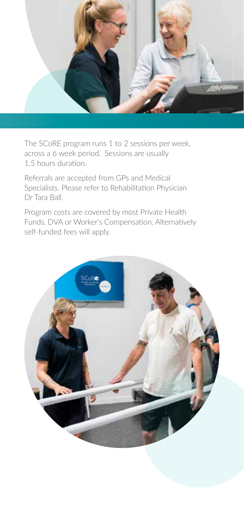

The SCoRE program runs 1 to 2 sessions per week, across a 6 week period. Sessions are usually 1.5 hours duration.

Referrals are accepted from GPs and Medical Specialists. Please refer to Rehabilitation Physician Dr Tara Ball.

Program costs are covered by most Private Health Funds, DVA or Worker's Compensation. Alternatively self-funded fees will apply.